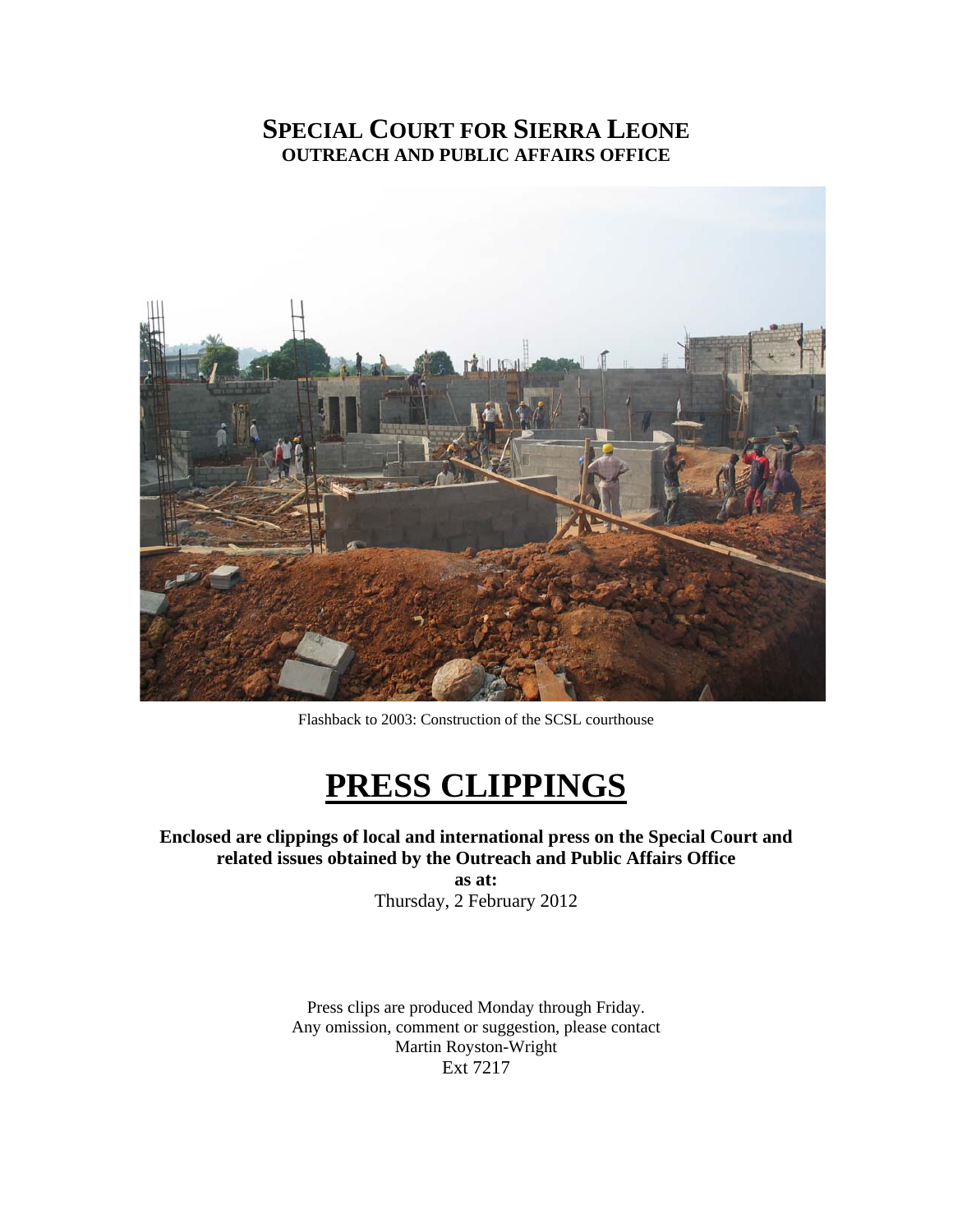# **SPECIAL COURT FOR SIERRA LEONE OUTREACH AND PUBLIC AFFAIRS OFFICE**



Flashback to 2003: Construction of the SCSL courthouse

# **PRESS CLIPPINGS**

### **Enclosed are clippings of local and international press on the Special Court and related issues obtained by the Outreach and Public Affairs Office**

**as at:**  Thursday, 2 February 2012

Press clips are produced Monday through Friday. Any omission, comment or suggestion, please contact Martin Royston-Wright Ext 7217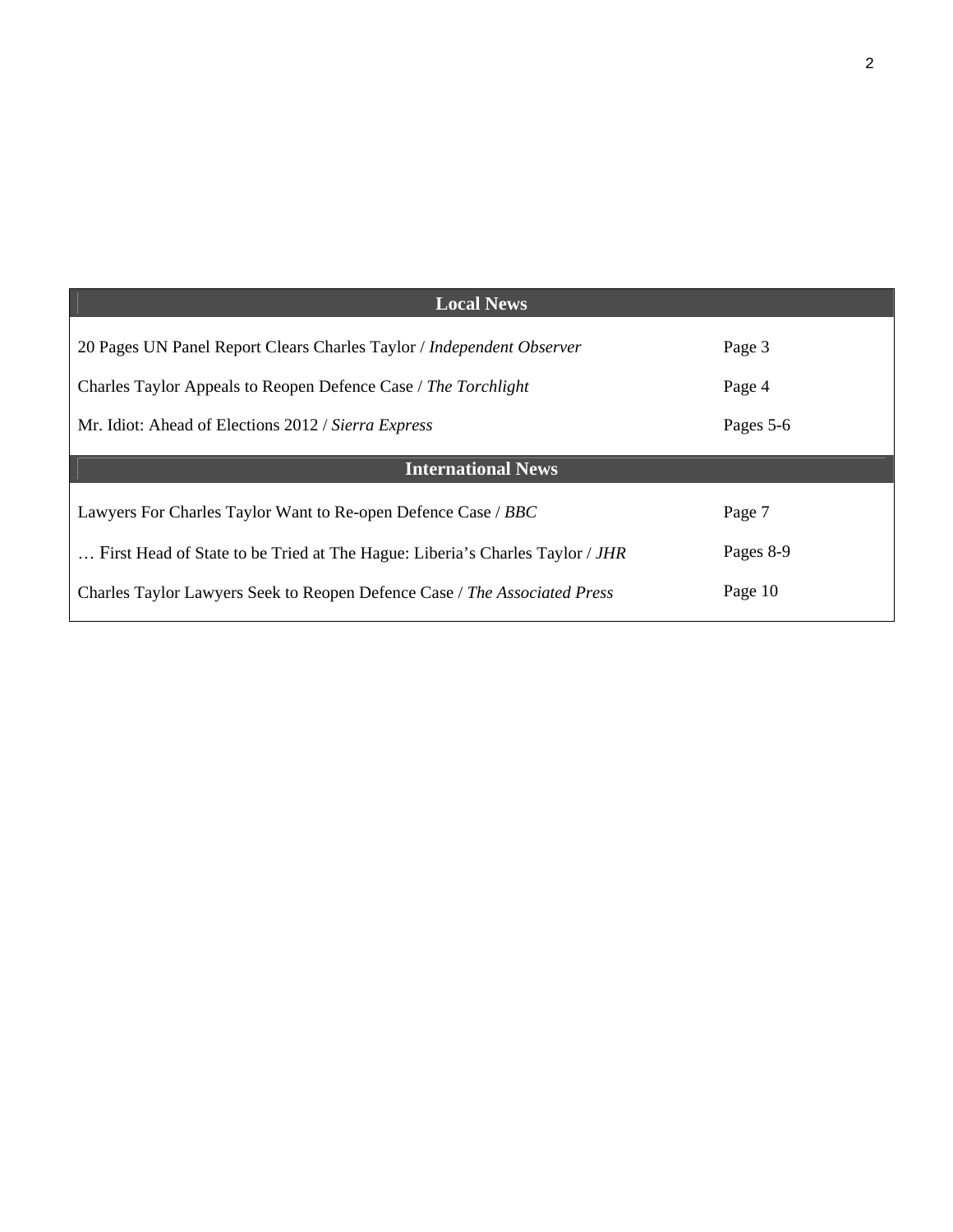| <b>Local News</b>                                                                   |           |  |  |
|-------------------------------------------------------------------------------------|-----------|--|--|
| 20 Pages UN Panel Report Clears Charles Taylor / Independent Observer               | Page 3    |  |  |
| Charles Taylor Appeals to Reopen Defence Case / The Torchlight                      | Page 4    |  |  |
| Mr. Idiot: Ahead of Elections 2012 / Sierra Express                                 | Pages 5-6 |  |  |
| <b>International News</b>                                                           |           |  |  |
| Lawyers For Charles Taylor Want to Re-open Defence Case / BBC                       | Page 7    |  |  |
| First Head of State to be Tried at The Hague: Liberia's Charles Taylor / <i>JHR</i> | Pages 8-9 |  |  |
| Charles Taylor Lawyers Seek to Reopen Defence Case / The Associated Press           | Page 10   |  |  |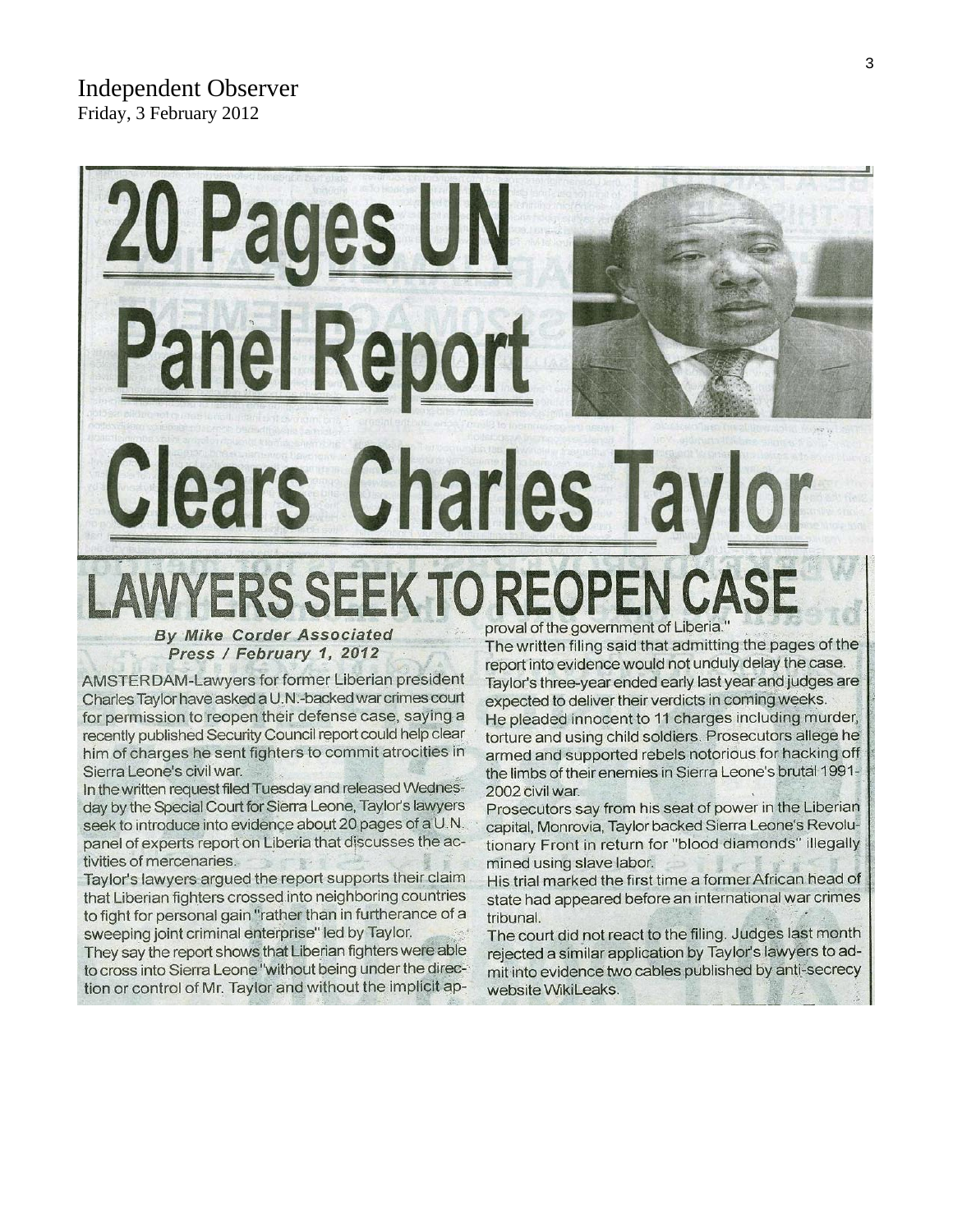# Independent Observer Friday, 3 February 2012

# **Panel Report Clears Charles Taylor AWYERS SEEK TO REOPEN**

**By Mike Corder Associated** Press / February 1, 2012

20 Pages UN

**AMSTERDAM-Lawyers for former Liberian president** Charles Taylor have asked a U.N.-backed war crimes court for permission to reopen their defense case, saying a recently published Security Council report could help clear him of charges he sent fighters to commit atrocities in Sierra Leone's civil war.

In the written request filed Tuesday and released Wednesday by the Special Court for Sierra Leone, Taylor's lawyers seek to introduce into evidence about 20 pages of a U.N. panel of experts report on Liberia that discusses the activities of mercenaries. 20 10 图.

Taylor's lawyers argued the report supports their claim that Liberian fighters crossed into neighboring countries to fight for personal gain "rather than in furtherance of a sweeping joint criminal enterprise" led by Taylor.

They say the report shows that Liberian fighters were able to cross into Sierra Leone "without being under the direction or control of Mr. Taylor and without the implicit approval of the government of Liberia.'

The written filing said that admitting the pages of the report into evidence would not unduly delay the case. Taylor's three-year ended early last year and judges are expected to deliver their verdicts in coming weeks.

He pleaded innocent to 11 charges including murder, torture and using child soldiers. Prosecutors allege he armed and supported rebels notorious for hacking off the limbs of their enemies in Sierra Leone's brutal 1991-2002 civil war.

Prosecutors say from his seat of power in the Liberian capital, Monrovia, Taylor backed Sierra Leone's Revolutionary Front in return for "blood diamonds" illegally mined using slave labor.

His trial marked the first time a former African head of state had appeared before an international war crimes tribunal.

The court did not react to the filing. Judges last month rejected a similar application by Taylor's lawyers to admit into evidence two cables published by anti-secrecy website WikiLeaks.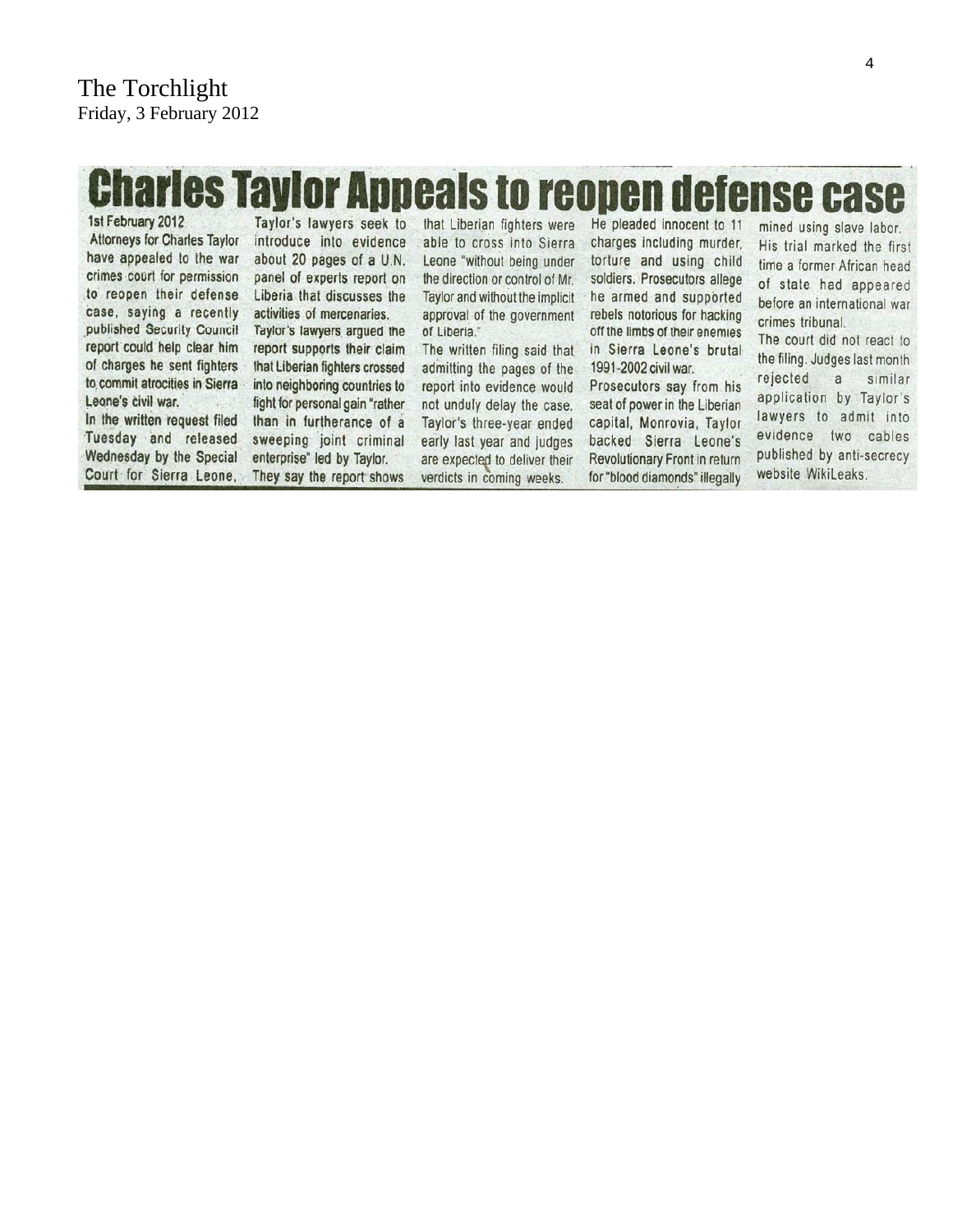#### **Charles Taylor Appeals to reopen defense case** 1st February 2012 Taylor's lawyers seek to that Liberian fighters were He pleaded innocent to 11

|                                     |                                 |                                 | $\cdots$ produce introducing to $\cdots$ |
|-------------------------------------|---------------------------------|---------------------------------|------------------------------------------|
| <b>Attorneys for Charles Taylor</b> | introduce into evidence         | able to cross into Sierra       | charges including murder,                |
| have appealed to the war            | about 20 pages of a U.N.        | Leone "without being under      | torture and using child                  |
| crimes court for permission         | panel of experts report on      | the direction or control of Mr. | soldiers. Prosecutors allege             |
| to reopen their defense             | Liberia that discusses the      | Taylor and without the implicit | he armed and supported                   |
| case, saying a recently             | activities of mercenaries.      | approval of the government      | rebels notorious for hacking             |
| published Security Council          | Taylor's lawyers argued the     | of Liberia."                    | off the limbs of their enemies           |
|                                     |                                 |                                 |                                          |
| report could help clear him         | report supports their claim     | The written filing said that    | in Sierra Leone's brutal                 |
| of charges he sent fighters         | that Liberian fighters crossed  | admitting the pages of the      | 1991-2002 civil war.                     |
| to commit atrocities in Sierra      | into neighboring countries to   | report into evidence would      | Prosecutors say from his                 |
| Leone's civil war.                  | fight for personal gain "rather | not unduly delay the case.      | seat of power in the Liberian            |
|                                     |                                 |                                 |                                          |
| In the written request filed        | than in furtherance of a        | Taylor's three-year ended       | capital, Monrovia, Taylor                |
| Tuesday and released                | sweeping joint criminal         | early last year and judges      | backed Sierra Leone's                    |
| Wednesday by the Special            | enterprise" led by Taylor.      | are expected to deliver their   | Revolutionary Front in return            |
| Court for Sierra Leone,             |                                 |                                 |                                          |
|                                     | They say the report shows       | verdicts in coming weeks.       | for "blood diamonds" illegally           |

mined using slave labor. His trial marked the first time a former African head of state had appeared before an international war crimes tribunal.

The court did not react to the filing. Judges last month rejected a similar application by Taylor's lawyers to admit into evidence two cables published by anti-secrecy website WikiLeaks.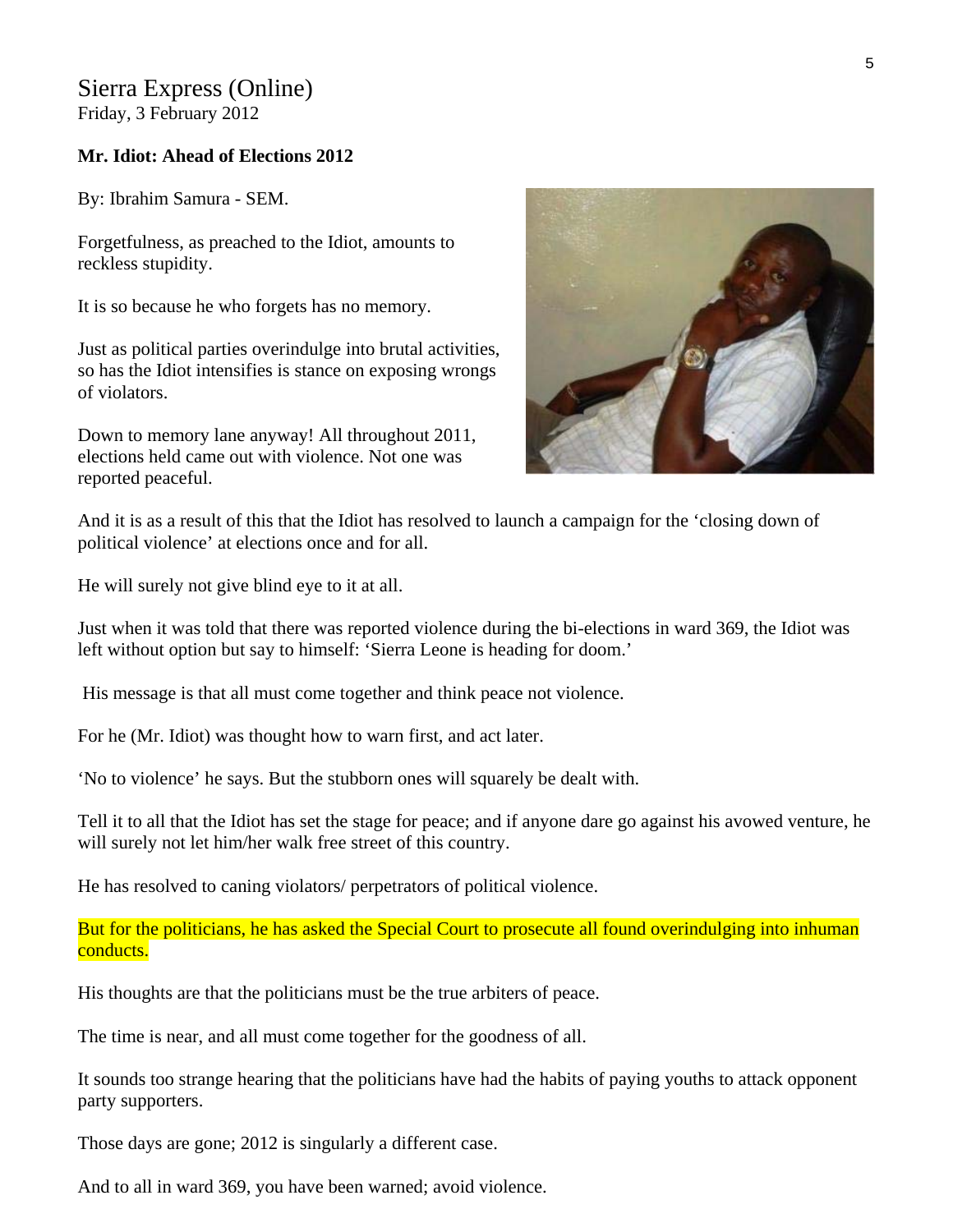#### Sierra Express (Online) Friday, 3 February 2012

#### **Mr. Idiot: Ahead of Elections 2012**

By: Ibrahim Samura - SEM.

Forgetfulness, as preached to the Idiot, amounts to reckless stupidity.

It is so because he who forgets has no memory.

Just as political parties overindulge into brutal activities, so has the Idiot intensifies is stance on exposing wrongs of violators.

Down to memory lane anyway! All throughout 2011, elections held came out with violence. Not one was reported peaceful.



And it is as a result of this that the Idiot has resolved to launch a campaign for the 'closing down of political violence' at elections once and for all.

He will surely not give blind eye to it at all.

Just when it was told that there was reported violence during the bi-elections in ward 369, the Idiot was left without option but say to himself: 'Sierra Leone is heading for doom.'

His message is that all must come together and think peace not violence.

For he (Mr. Idiot) was thought how to warn first, and act later.

'No to violence' he says. But the stubborn ones will squarely be dealt with.

Tell it to all that the Idiot has set the stage for peace; and if anyone dare go against his avowed venture, he will surely not let him/her walk free street of this country.

He has resolved to caning violators/ perpetrators of political violence.

But for the politicians, he has asked the Special Court to prosecute all found overindulging into inhuman conducts.

His thoughts are that the politicians must be the true arbiters of peace.

The time is near, and all must come together for the goodness of all.

It sounds too strange hearing that the politicians have had the habits of paying youths to attack opponent party supporters.

Those days are gone; 2012 is singularly a different case.

And to all in ward 369, you have been warned; avoid violence.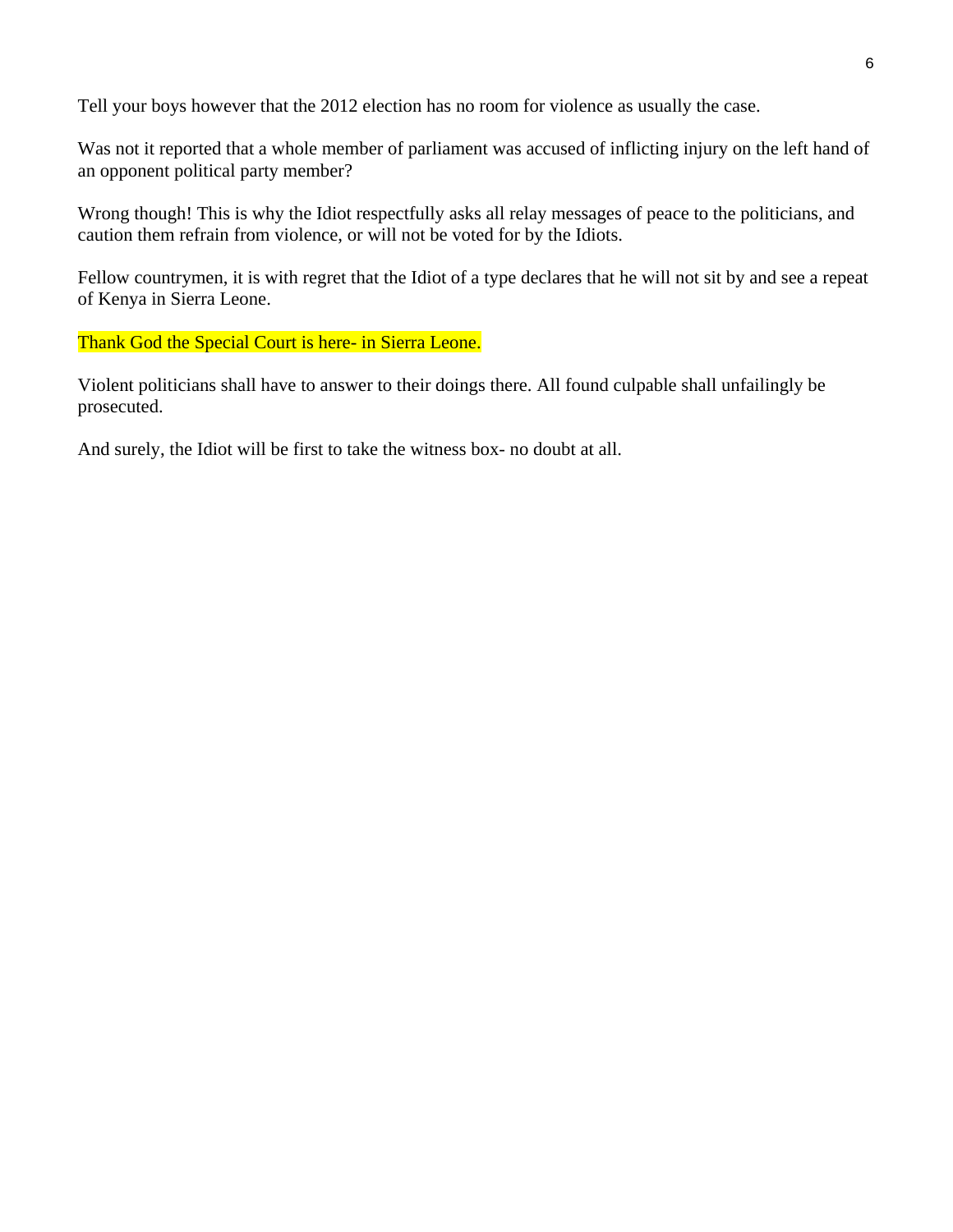Tell your boys however that the 2012 election has no room for violence as usually the case.

Was not it reported that a whole member of parliament was accused of inflicting injury on the left hand of an opponent political party member?

Wrong though! This is why the Idiot respectfully asks all relay messages of peace to the politicians, and caution them refrain from violence, or will not be voted for by the Idiots.

Fellow countrymen, it is with regret that the Idiot of a type declares that he will not sit by and see a repeat of Kenya in Sierra Leone.

Thank God the Special Court is here- in Sierra Leone.

Violent politicians shall have to answer to their doings there. All found culpable shall unfailingly be prosecuted.

And surely, the Idiot will be first to take the witness box- no doubt at all.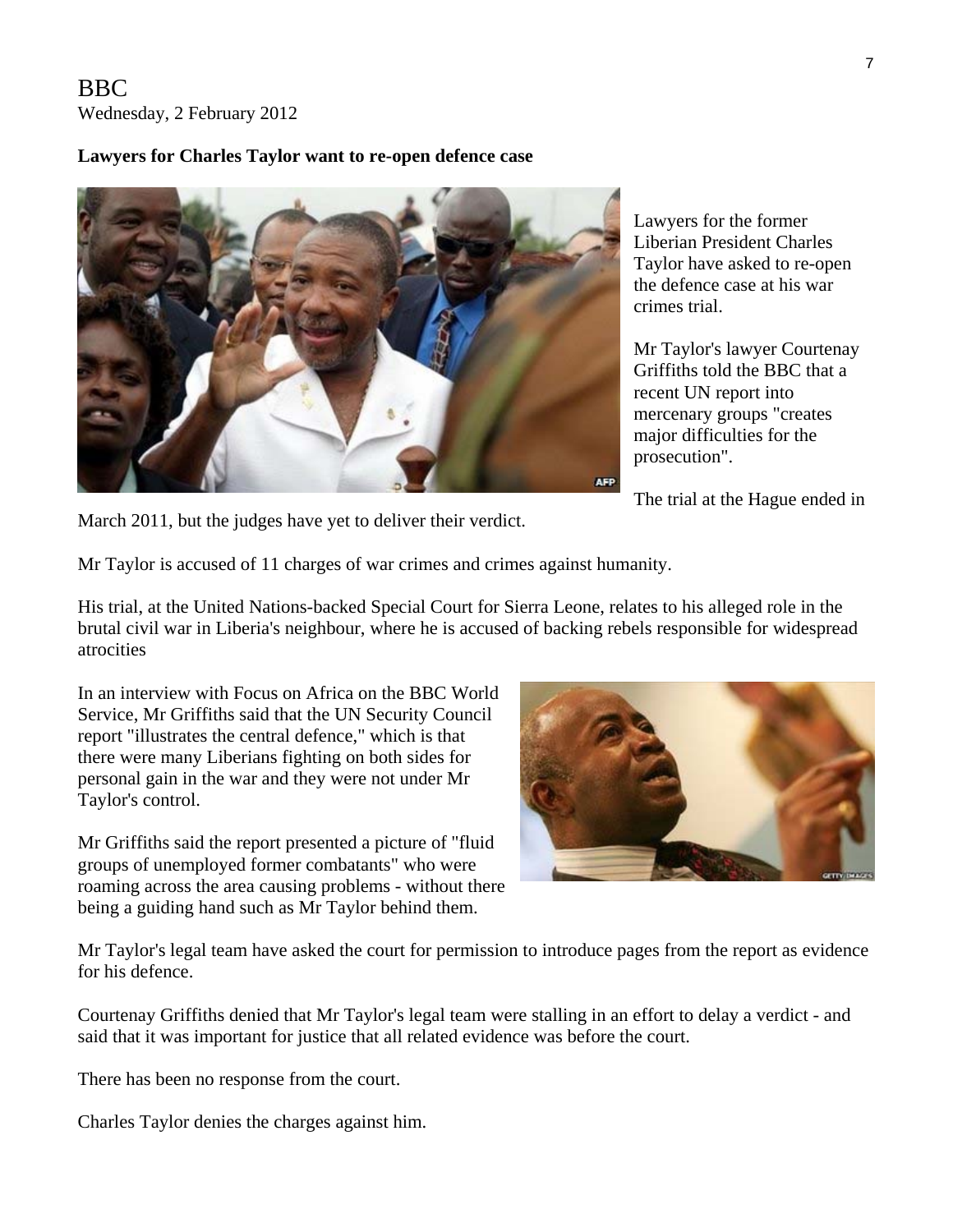# BBC Wednesday, 2 February 2012

#### **Lawyers for Charles Taylor want to re-open defence case**



Lawyers for the former Liberian President Charles Taylor have asked to re-open the defence case at his war crimes trial.

Mr Taylor's lawyer Courtenay Griffiths told the BBC that a recent UN report into mercenary groups "creates major difficulties for the prosecution".

The trial at the Hague ended in

March 2011, but the judges have yet to deliver their verdict.

Mr Taylor is accused of 11 charges of war crimes and crimes against humanity.

His trial, at the United Nations-backed Special Court for Sierra Leone, relates to his alleged role in the brutal civil war in Liberia's neighbour, where he is accused of backing rebels responsible for widespread atrocities

In an interview with Focus on Africa on the BBC World Service, Mr Griffiths said that the UN Security Council report "illustrates the central defence," which is that there were many Liberians fighting on both sides for personal gain in the war and they were not under Mr Taylor's control.

Mr Griffiths said the report presented a picture of "fluid groups of unemployed former combatants" who were roaming across the area causing problems - without t here being a guiding hand such as Mr Taylor behind them.



Mr Taylor's legal team have asked the court for permission to introduce pages from the report as evidence for his defence.

Courtenay Griffiths denied that Mr Taylor's legal team were stalling in an effort to delay a verdict - and said that it was important for justice that all related evidence was before the court.

There has been no response from the court.

Charles Taylor denies the charges against him.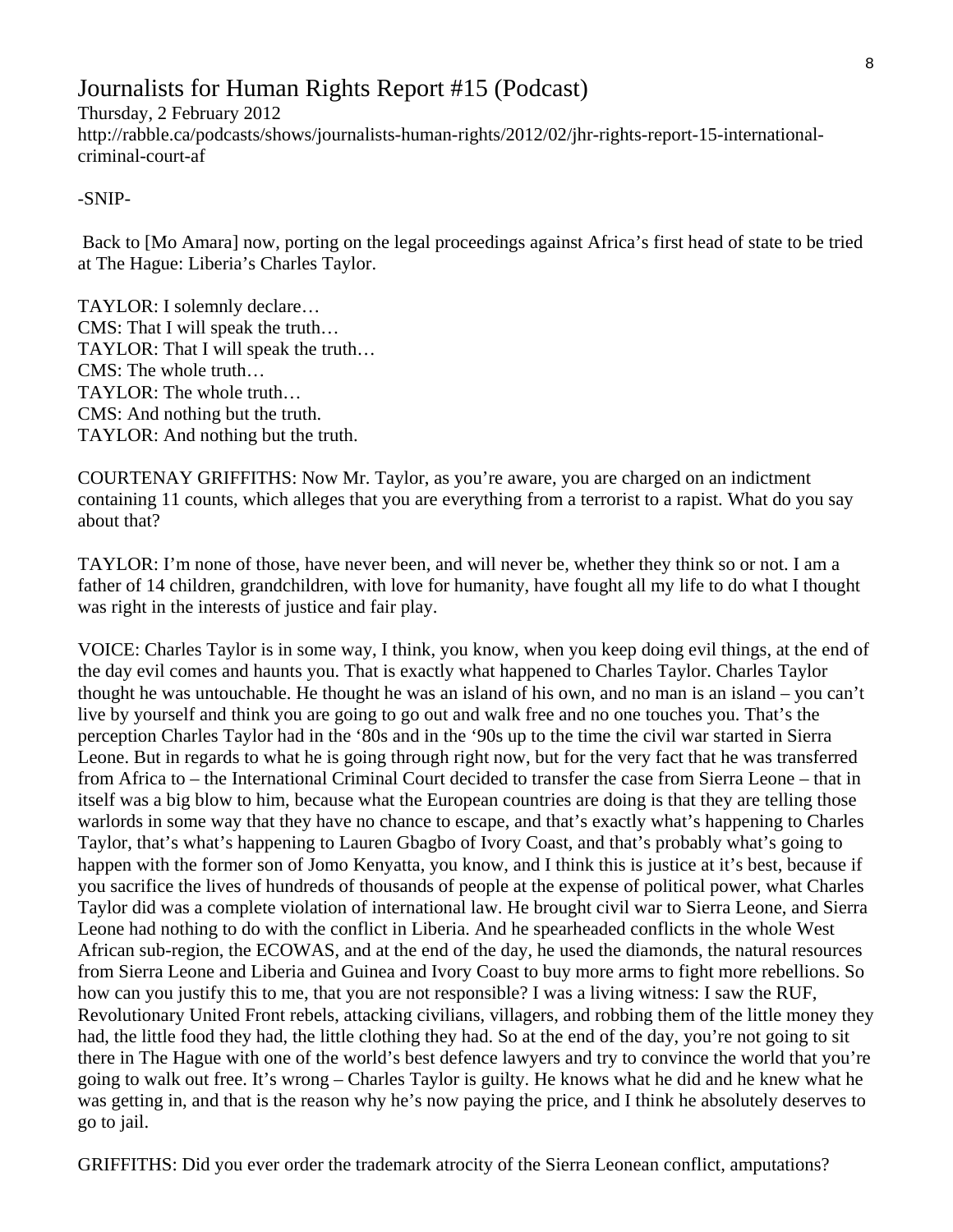# Journalists for Human Rights Report #15 (Podcast)

Thursday, 2 February 2012 http://rabble.ca/podcasts/shows/journalists-human-rights/2012/02/jhr-rights-report-15-internationalcriminal-court-af

-SNIP-

 Back to [Mo Amara] now, porting on the legal proceedings against Africa's first head of state to be tried at The Hague: Liberia's Charles Taylor.

TAYLOR: I solemnly declare… CMS: That I will speak the truth… TAYLOR: That I will speak the truth… CMS: The whole truth… TAYLOR: The whole truth… CMS: And nothing but the truth. TAYLOR: And nothing but the truth.

COURTENAY GRIFFITHS: Now Mr. Taylor, as you're aware, you are charged on an indictment containing 11 counts, which alleges that you are everything from a terrorist to a rapist. What do you say about that?

TAYLOR: I'm none of those, have never been, and will never be, whether they think so or not. I am a father of 14 children, grandchildren, with love for humanity, have fought all my life to do what I thought was right in the interests of justice and fair play.

VOICE: Charles Taylor is in some way, I think, you know, when you keep doing evil things, at the end of the day evil comes and haunts you. That is exactly what happened to Charles Taylor. Charles Taylor thought he was untouchable. He thought he was an island of his own, and no man is an island – you can't live by yourself and think you are going to go out and walk free and no one touches you. That's the perception Charles Taylor had in the '80s and in the '90s up to the time the civil war started in Sierra Leone. But in regards to what he is going through right now, but for the very fact that he was transferred from Africa to – the International Criminal Court decided to transfer the case from Sierra Leone – that in itself was a big blow to him, because what the European countries are doing is that they are telling those warlords in some way that they have no chance to escape, and that's exactly what's happening to Charles Taylor, that's what's happening to Lauren Gbagbo of Ivory Coast, and that's probably what's going to happen with the former son of Jomo Kenyatta, you know, and I think this is justice at it's best, because if you sacrifice the lives of hundreds of thousands of people at the expense of political power, what Charles Taylor did was a complete violation of international law. He brought civil war to Sierra Leone, and Sierra Leone had nothing to do with the conflict in Liberia. And he spearheaded conflicts in the whole West African sub-region, the ECOWAS, and at the end of the day, he used the diamonds, the natural resources from Sierra Leone and Liberia and Guinea and Ivory Coast to buy more arms to fight more rebellions. So how can you justify this to me, that you are not responsible? I was a living witness: I saw the RUF, Revolutionary United Front rebels, attacking civilians, villagers, and robbing them of the little money they had, the little food they had, the little clothing they had. So at the end of the day, you're not going to sit there in The Hague with one of the world's best defence lawyers and try to convince the world that you're going to walk out free. It's wrong – Charles Taylor is guilty. He knows what he did and he knew what he was getting in, and that is the reason why he's now paying the price, and I think he absolutely deserves to go to jail.

GRIFFITHS: Did you ever order the trademark atrocity of the Sierra Leonean conflict, amputations?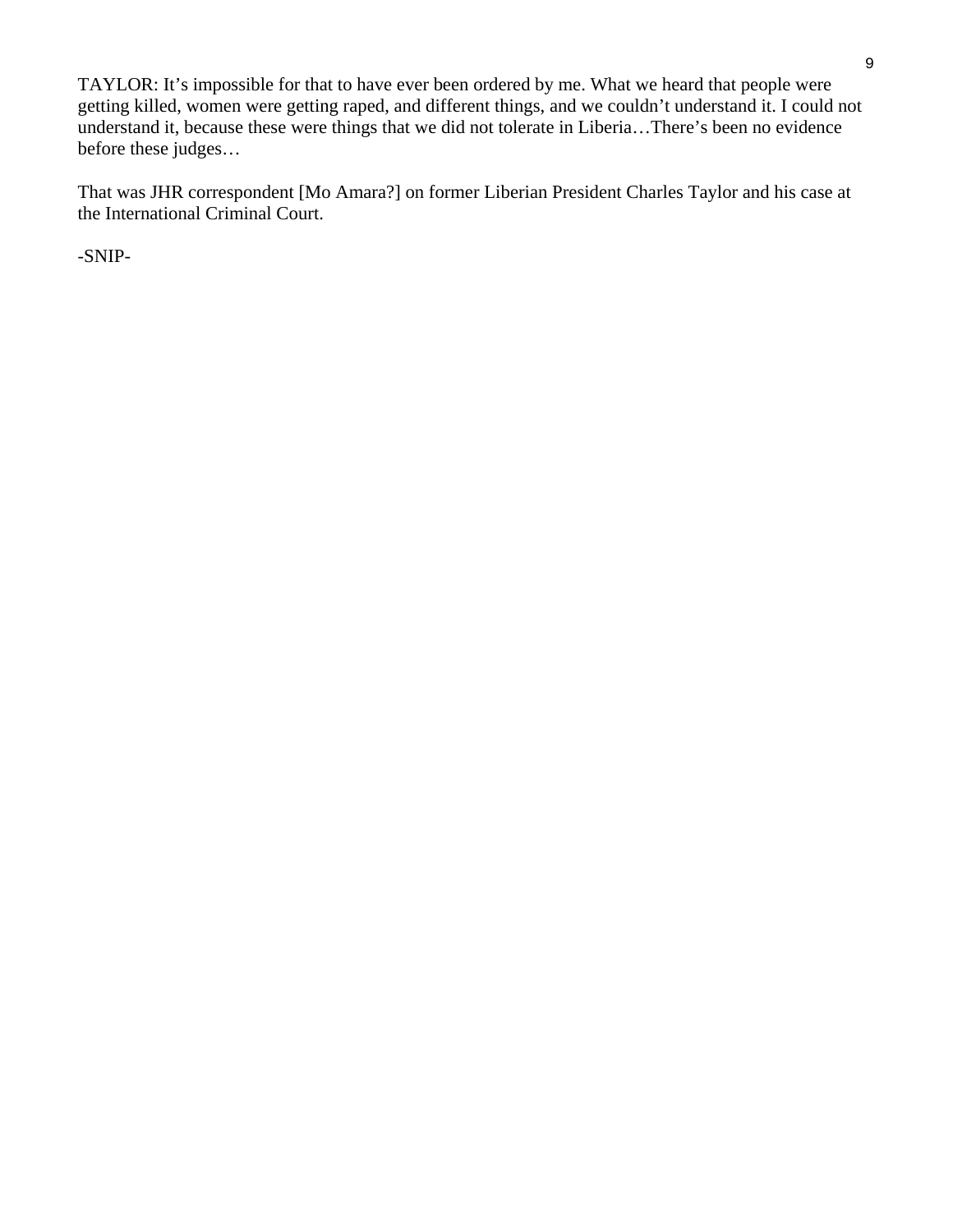TAYLOR: It's impossible for that to have ever been ordered by me. What we heard that people were getting killed, women were getting raped, and different things, and we couldn't understand it. I could not understand it, because these were things that we did not tolerate in Liberia…There's been no evidence before these judges…

That was JHR correspondent [Mo Amara?] on former Liberian President Charles Taylor and his case at the International Criminal Court.

-SNIP-